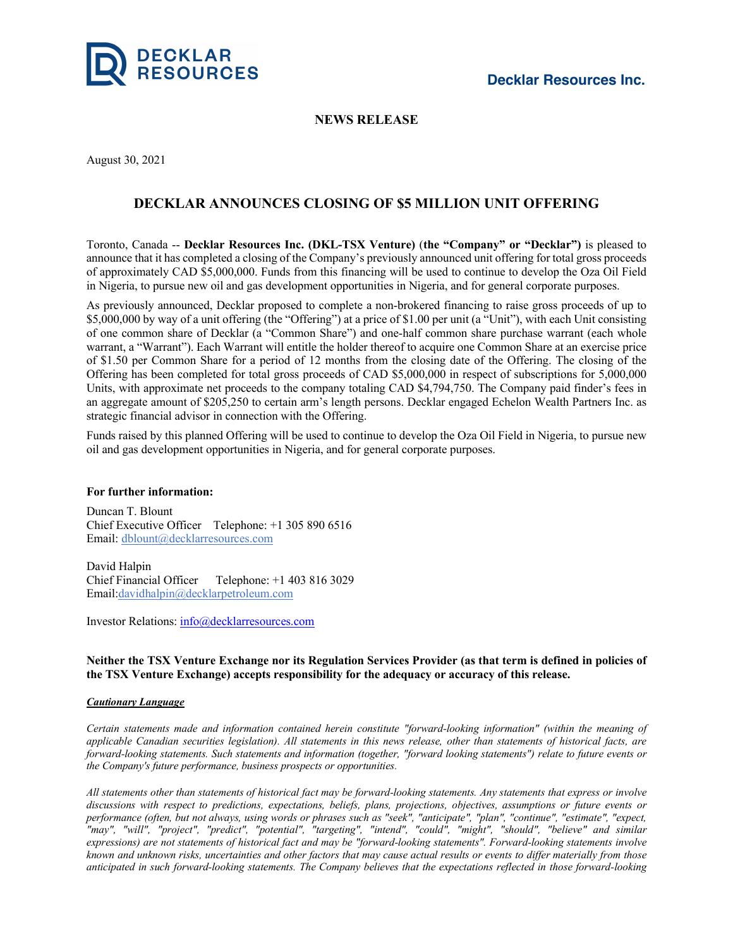

## **NEWS RELEASE**

August 30, 2021

# **DECKLAR ANNOUNCES CLOSING OF \$5 MILLION UNIT OFFERING**

Toronto, Canada -- **Decklar Resources Inc. (DKL-TSX Venture)** (**the "Company" or "Decklar")** is pleased to announce that it has completed a closing of the Company's previously announced unit offering for total gross proceeds of approximately CAD \$5,000,000. Funds from this financing will be used to continue to develop the Oza Oil Field in Nigeria, to pursue new oil and gas development opportunities in Nigeria, and for general corporate purposes.

As previously announced, Decklar proposed to complete a non-brokered financing to raise gross proceeds of up to \$5,000,000 by way of a unit offering (the "Offering") at a price of \$1.00 per unit (a "Unit"), with each Unit consisting of one common share of Decklar (a "Common Share") and one-half common share purchase warrant (each whole warrant, a "Warrant"). Each Warrant will entitle the holder thereof to acquire one Common Share at an exercise price of \$1.50 per Common Share for a period of 12 months from the closing date of the Offering. The closing of the Offering has been completed for total gross proceeds of CAD \$5,000,000 in respect of subscriptions for 5,000,000 Units, with approximate net proceeds to the company totaling CAD \$4,794,750. The Company paid finder's fees in an aggregate amount of \$205,250 to certain arm's length persons. Decklar engaged Echelon Wealth Partners Inc. as strategic financial advisor in connection with the Offering.

Funds raised by this planned Offering will be used to continue to develop the Oza Oil Field in Nigeria, to pursue new oil and gas development opportunities in Nigeria, and for general corporate purposes.

#### **For further information:**

Duncan T. Blount Chief Executive Officer Telephone: +1 305 890 6516 Email: dblount@decklarresources.com

David Halpin Chief Financial Officer Telephone: +1 403 816 3029 Email:davidhalpin@decklarpetroleum.com

Investor Relations: info@decklarresources.com

### Neither the TSX Venture Exchange nor its Regulation Services Provider (as that term is defined in policies of **the TSX Venture Exchange) accepts responsibility for the adequacy or accuracy of this release.**

#### *Cautionary Language*

*Certain statements made and information contained herein constitute "forward-looking information" (within the meaning of* applicable Canadian securities legislation). All statements in this news release, other than statements of historical facts, are forward-looking statements. Such statements and information (together, "forward looking statements") relate to future events or *the Company's future performance, business prospects or opportunities.*

All statements other than statements of historical fact may be forward-looking statements. Any statements that express or involve discussions with respect to predictions, expectations, beliefs, plans, projections, objectives, assumptions or future events or performance (often, but not always, using words or phrases such as "seek", "anticipate", "plan", "continue", "estimate", "expect, *"may", "will", "project", "predict", "potential", "targeting", "intend", "could", "might", "should", "believe" and similar* expressions) are not statements of historical fact and may be "forward-looking statements". Forward-looking statements involve known and unknown risks, uncertainties and other factors that may cause actual results or events to differ materially from those anticipated in such forward-looking statements. The Company believes that the expectations reflected in those forward-looking